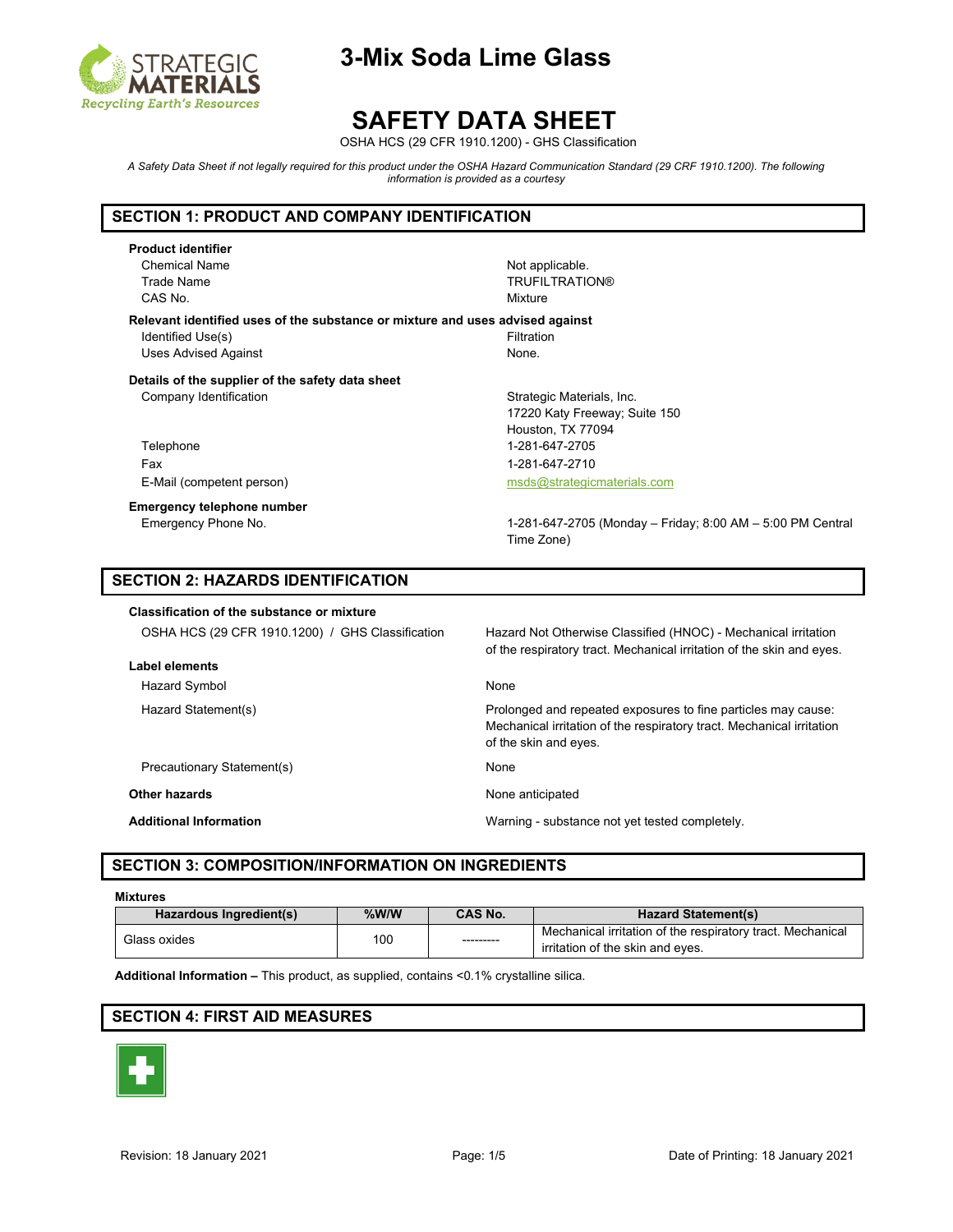

# **SAFETY DATA SHEET**

OSHA HCS (29 CFR 1910.1200) - GHS Classification

*A Safety Data Sheet if not legally required for this product under the OSHA Hazard Communication Standard (29 CRF 1910.1200). The following information is provided as a courtesy*

### **SECTION 1: PRODUCT AND COMPANY IDENTIFICATION**

**Product identifier** Chemical Name **Not applicable.** CAS No. **Mixture** 

Trade Name Trade Name TRUFILTRATION®

**Relevant identified uses of the substance or mixture and uses advised against** Identified Use(s) The Contract of the Contract of Telecommunication in the Filtration Uses Advised Against None.

**Details of the supplier of the safety data sheet** Company Identification **Strategic Materials, Inc.** Strategic Materials, Inc.

Telephone 1-281-647-2705 Fax 1-281-647-2710 E-Mail (competent person) [msds@strategicmaterials.com](mailto:msds@strategicmaterials.com)

**Emergency telephone number**

17220 Katy Freeway; Suite 150 Houston, TX 77094

Emergency Phone No. 1-281-647-2705 (Monday – Friday; 8:00 AM – 5:00 PM Central Time Zone)

### **SECTION 2: HAZARDS IDENTIFICATION**

**Classification of the substance or mixture**

| Label elements |
|----------------|
|                |
|                |

Hazard Symbol None

Precautionary Statement(s) None

**Other hazards None anticipated None anticipated** 

OSHA HCS (29 CFR 1910.1200) / GHS Classification Hazard Not Otherwise Classified (HNOC) - Mechanical irritation of the respiratory tract. Mechanical irritation of the skin and eyes.

Hazard Statement(s) Prolonged and repeated exposures to fine particles may cause: Mechanical irritation of the respiratory tract. Mechanical irritation of the skin and eyes.

**Additional Information** Warning - substance not yet tested completely.

## **SECTION 3: COMPOSITION/INFORMATION ON INGREDIENTS**

#### **Mixtures**

| Hazardous Ingredient(s) | %W/W | <b>CAS No.</b> | <b>Hazard Statement(s)</b>                                                                     |
|-------------------------|------|----------------|------------------------------------------------------------------------------------------------|
| Glass oxides            | 100  | ---------      | Mechanical irritation of the respiratory tract. Mechanical<br>irritation of the skin and eves. |

**Additional Information –** This product, as supplied, contains <0.1% crystalline silica.

## **SECTION 4: FIRST AID MEASURES**

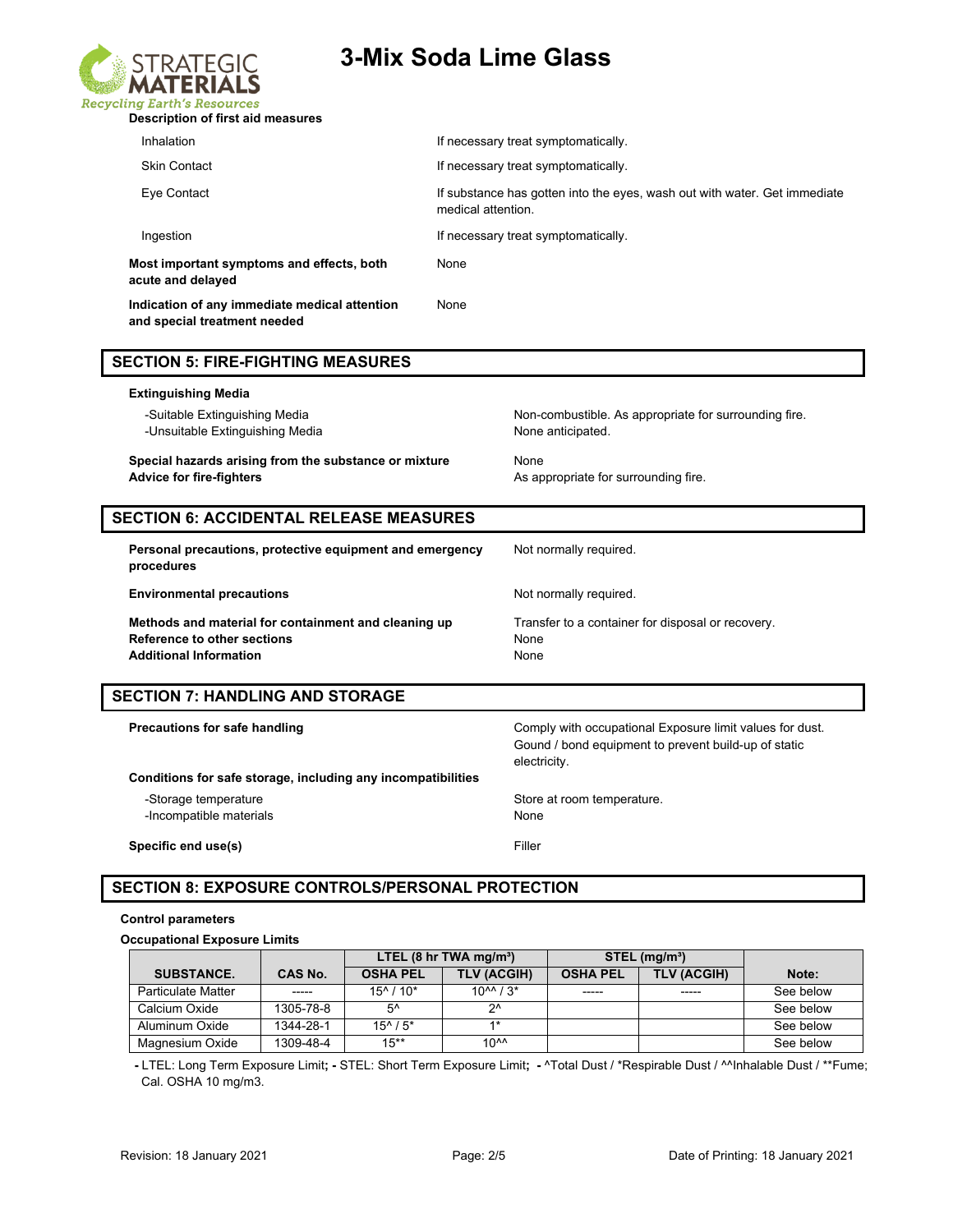

| Inhalation                                                                    | If necessary treat symptomatically.                                                             |
|-------------------------------------------------------------------------------|-------------------------------------------------------------------------------------------------|
| <b>Skin Contact</b>                                                           | If necessary treat symptomatically.                                                             |
| Eye Contact                                                                   | If substance has gotten into the eyes, wash out with water. Get immediate<br>medical attention. |
| Ingestion                                                                     | If necessary treat symptomatically.                                                             |
| Most important symptoms and effects, both<br>acute and delayed                | None                                                                                            |
| Indication of any immediate medical attention<br>and special treatment needed | None                                                                                            |

#### **SECTION 5: FIRE-FIGHTING MEASURES**

# **Extinguishing Media** -Suitable Extinguishing Media Non-combustible. As appropriate for surrounding fire. -Unsuitable Extinguishing Media None anticipated. **Special hazards arising from the substance or mixture Mone** Advice for fire-fighters **Advice for fire-fighters** As appropriate for surrounding fire.

## **SECTION 6: ACCIDENTAL RELEASE MEASURES**

| Personal precautions, protective equipment and emergency<br>procedures                                               | Not normally required.                                            |
|----------------------------------------------------------------------------------------------------------------------|-------------------------------------------------------------------|
| <b>Environmental precautions</b>                                                                                     | Not normally required.                                            |
| Methods and material for containment and cleaning up<br>Reference to other sections<br><b>Additional Information</b> | Transfer to a container for disposal or recovery.<br>None<br>None |

# **SECTION 7: HANDLING AND STORAGE**

| Precautions for safe handling                                | Comply with occupational Exposure limit values for dust.<br>Gound / bond equipment to prevent build-up of static<br>electricity. |
|--------------------------------------------------------------|----------------------------------------------------------------------------------------------------------------------------------|
| Conditions for safe storage, including any incompatibilities |                                                                                                                                  |
| -Storage temperature                                         | Store at room temperature.                                                                                                       |
| -Incompatible materials                                      | None                                                                                                                             |
| Specific end use(s)                                          | Filler                                                                                                                           |

## **SECTION 8: EXPOSURE CONTROLS/PERSONAL PROTECTION**

#### **Control parameters**

#### **Occupational Exposure Limits**

|                           |                | LTEL $(8 \text{ hr} \text{ TWA} \text{ mg/m}^3)$ |                            | $STEL$ (mg/m <sup>3</sup> ) |                    |           |
|---------------------------|----------------|--------------------------------------------------|----------------------------|-----------------------------|--------------------|-----------|
| <b>SUBSTANCE.</b>         | <b>CAS No.</b> | <b>OSHA PEL</b>                                  | <b>TLV (ACGIH)</b>         | <b>OSHA PEL</b>             | <b>TLV (ACGIH)</b> | Note:     |
| <b>Particulate Matter</b> | -----          | $15^{\circ}$ / $10^*$                            | $10^{11}$ / 3 <sup>*</sup> | $- - - - -$                 | -----              | See below |
| Calcium Oxide             | 1305-78-8      | $5^{\prime}$                                     | つハ                         |                             |                    | See below |
| Aluminum Oxide            | 1344-28-1      | $15^{\wedge}$ / $5^*$                            | $4*$                       |                             |                    | See below |
| Magnesium Oxide           | 1309-48-4      | $15***$                                          | 10 <sup>AA</sup>           |                             |                    | See below |

 **-** LTEL: Long Term Exposure Limit**; -** STEL: Short Term Exposure Limit**; -** ^Total Dust / \*Respirable Dust / ^^Inhalable Dust / \*\*Fume; Cal. OSHA 10 mg/m3.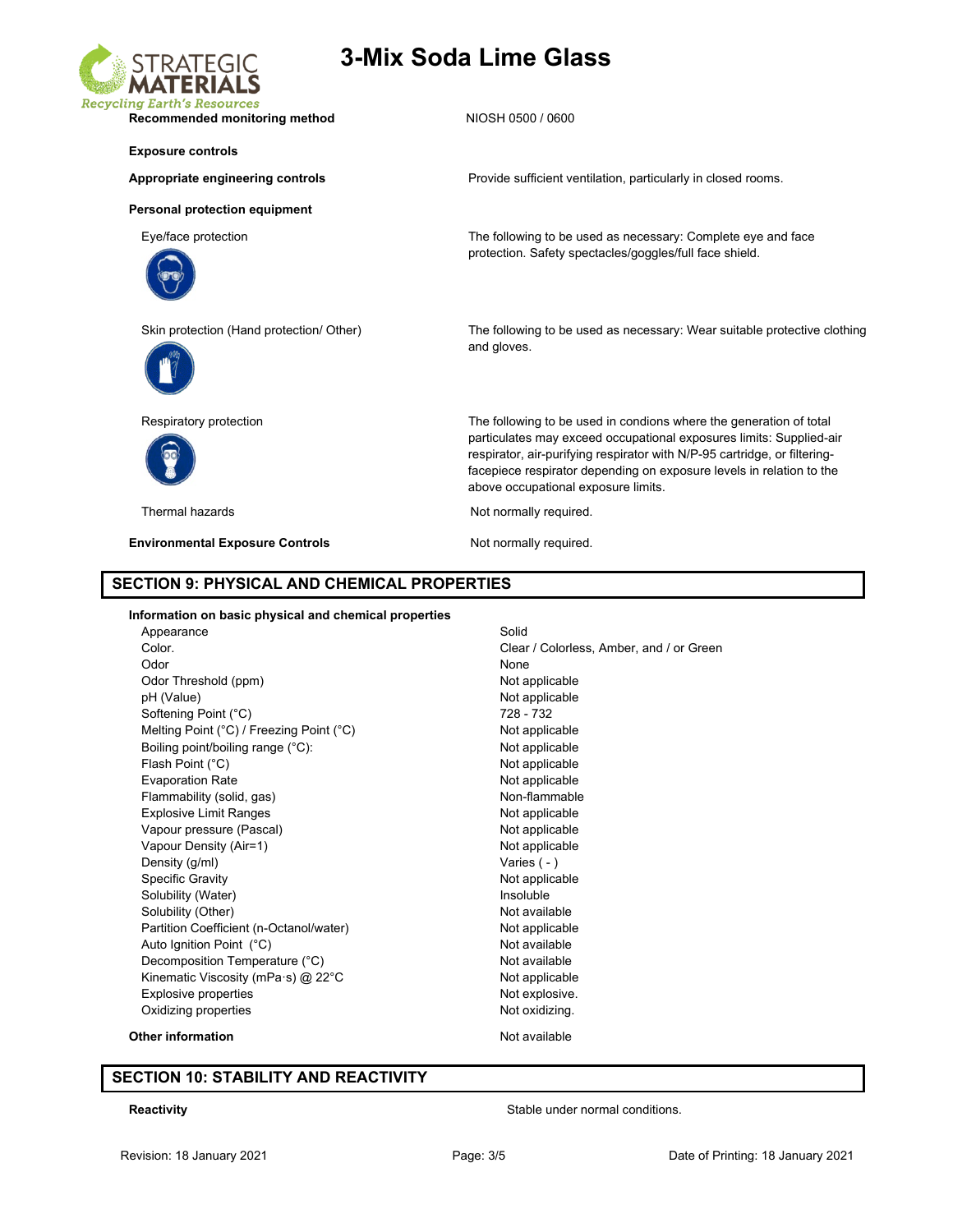

Recommended monitoring method NIOSH 0500 / 0600

#### **Exposure controls**

#### Appropriate engineering controls **Provide sufficient ventilation**, particularly in closed rooms.

**Personal protection equipment**

Eye/face protection The following to be used as necessary: Complete eye and face





protection. Safety spectacles/goggles/full face shield.

Skin protection (Hand protection/ Other) The following to be used as necessary: Wear suitable protective clothing and gloves.

> particulates may exceed occupational exposures limits: Supplied-air respirator, air-purifying respirator with N/P-95 cartridge, or filteringfacepiece respirator depending on exposure levels in relation to the

Respiratory protection The following to be used in condions where the generation of total



Thermal hazards **Not report to the COV** Not normally required.

**Environmental Exposure Controls Not normally required.** 

above occupational exposure limits.

#### **SECTION 9: PHYSICAL AND CHEMICAL PROPERTIES**

#### **Information on basic physical and chemical properties** Appearance Solid Color. Coloress, Amber, and / or Green Odor None Odor Threshold (ppm) Not applicable pH (Value) Not applicable Softening Point (°C) 728 - 732 Melting Point (°C) / Freezing Point (°C) Not applicable Boiling point/boiling range (°C): Not applicable Flash Point (°C) and the contract of the contract of the Not applicable Not applicable Evaporation Rate Not applicable Flammability (solid, gas) Non-flammable Explosive Limit Ranges Not applicable Vapour pressure (Pascal) Not applicable Vapour Density (Air=1) Not applicable Density (g/ml) Varies (-) Specific Gravity **Not applicable** Solubility (Water) and the solubility of the soluble insoluble Solubility (Other) Not available Partition Coefficient (n-Octanol/water) Not applicable Auto Ignition Point (°C) and a control and a Not available Decomposition Temperature (°C) Not available Kinematic Viscosity (mPa·s) @ 22°C Not applicable Explosive properties **Not explosive.** Not explosive.

Oxidizing properties Not oxidizing.

#### **Other information** and a new state of the Not available

#### **SECTION 10: STABILITY AND REACTIVITY**

**Reactivity Reactivity Stable under normal conditions.**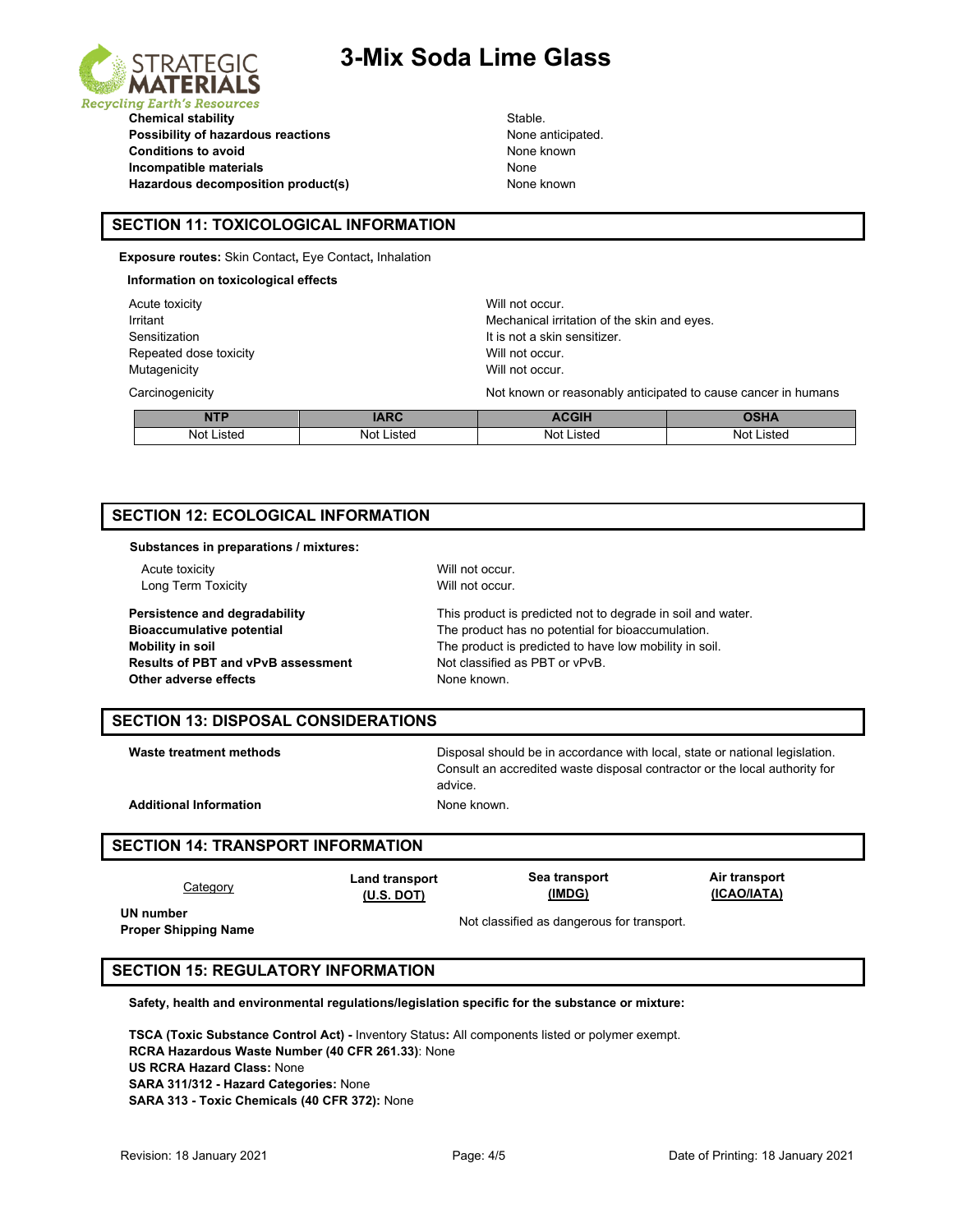



**Chemical stability** Stable. **Possibility of hazardous reactions None anticipated.** None anticipated. **Conditions to avoid None known Incompatible materials** None Hazardous decomposition product(s) Mone known

### **SECTION 11: TOXICOLOGICAL INFORMATION**

**Exposure routes:** Skin Contact**,** Eye Contact**,** Inhalation

| Information on toxicological effects |             |                                                               |             |  |
|--------------------------------------|-------------|---------------------------------------------------------------|-------------|--|
| Acute toxicity                       |             | Will not occur.                                               |             |  |
| Irritant                             |             | Mechanical irritation of the skin and eyes.                   |             |  |
| Sensitization                        |             | It is not a skin sensitizer.                                  |             |  |
| Repeated dose toxicity               |             | Will not occur.                                               |             |  |
| Mutagenicity                         |             | Will not occur.                                               |             |  |
| Carcinogenicity                      |             | Not known or reasonably anticipated to cause cancer in humans |             |  |
| <b>NTP</b>                           | <b>IARC</b> | <b>ACGIH</b>                                                  | <b>OSHA</b> |  |

Not Listed Not Listed Not Listed Not Listed

# **SECTION 12: ECOLOGICAL INFORMATION**

#### **Substances in preparations / mixtures:**

Acute toxicity **Acute toxicity** Acute toxicity **Will not occur.** Long Term Toxicity **Will not occur.** 

**Results of PBT and vPvB assessment Other adverse effects** None known.

**Persistence and degradability** This product is predicted not to degrade in soil and water. **Bioaccumulative potential** The product has no potential for bioaccumulation. **Mobility in soil**<br> **Results of PBT and vPvB assessment** The product is predicted to have low mobility in soil.<br>
Not classified as PBT or vPvB.

#### **SECTION 13: DISPOSAL CONSIDERATIONS**

**Waste treatment methods** Disposal should be in accordance with local, state or national legislation. Consult an accredited waste disposal contractor or the local authority for advice.

Additional Information **None known**.

#### **SECTION 14: TRANSPORT INFORMATION**

| <u>Category</u>                          | <b>Land transport</b> | Sea transport                              | Air transport |
|------------------------------------------|-----------------------|--------------------------------------------|---------------|
|                                          | (U.S. DOT)            | (IMDG)                                     | (ICAO/IATA)   |
| UN number<br><b>Proper Shipping Name</b> |                       | Not classified as dangerous for transport. |               |

### **SECTION 15: REGULATORY INFORMATION**

**Safety, health and environmental regulations/legislation specific for the substance or mixture:**

**TSCA (Toxic Substance Control Act) -** Inventory Status**:** All components listed or polymer exempt. **RCRA Hazardous Waste Number (40 CFR 261.33)**: None **US RCRA Hazard Class:** None **SARA 311/312 - Hazard Categories:** None **SARA 313 - Toxic Chemicals (40 CFR 372):** None